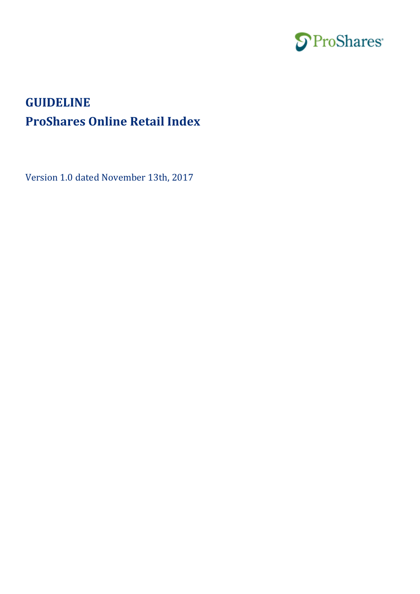

# **GUIDELINE ProShares Online Retail Index**

Version 1.0 dated November 13th, 2017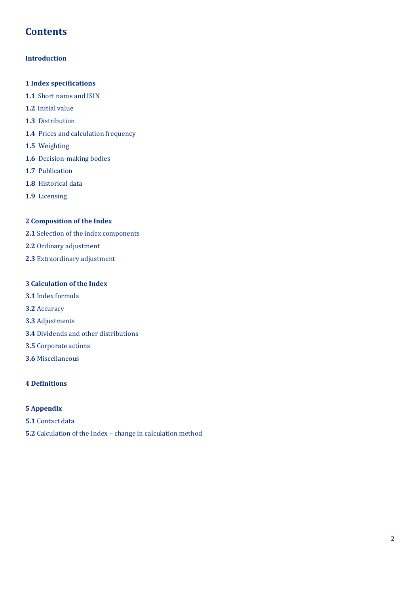# **Contents**

# **Introduction**

# **1 Index specifications**

- **1.1** Short name and ISIN
- **1.2** Initial value
- **1.3** Distribution
- **1.4** Prices and calculation frequency
- **1.5** Weighting
- **1.6** Decision-making bodies
- **1.7** Publication
- **1.8** Historical data
- **1.9** Licensing

# **2 Composition of the Index**

- **2.1** Selection of the index components
- **2.2** Ordinary adjustment
- **2.3** Extraordinary adjustment

# **3 Calculation of the Index**

- **3.1** Index formula
- **3.2** Accuracy
- **3.3** Adjustments
- **3.4** Dividends and other distributions
- **3.5** Corporate actions
- **3.6** Miscellaneous

# **4 Definitions**

# **5 Appendix**

- **5.1** Contact data
- **5.2** Calculation of the Index change in calculation method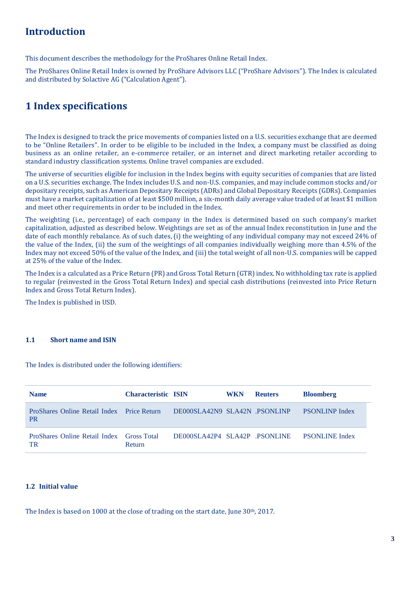# **Introduction**

This document describes the methodology for the ProShares Online Retail Index.

The ProShares Online Retail Index is owned by ProShare Advisors LLC ("ProShare Advisors"). The Index is calculated and distributed by Solactive AG ("Calculation Agent").

# **1 Index specifications**

The Index is designed to track the price movements of companies listed on a U.S. securities exchange that are deemed to be "Online Retailers". In order to be eligible to be included in the Index, a company must be classified as doing business as an online retailer, an e-commerce retailer, or an internet and direct marketing retailer according to standard industry classification systems. Online travel companies are excluded.

The universe of securities eligible for inclusion in the Index begins with equity securities of companies that are listed on a U.S. securities exchange. The Index includes U.S. and non-U.S. companies, and may include common stocks and/or depositary receipts, such as American Depositary Receipts (ADRs) and Global Depositary Receipts (GDRs). Companies must have a market capitalization of at least \$500 million, a six-month daily average value traded of at least \$1 million and meet other requirements in order to be included in the Index.

The weighting (i.e., percentage) of each company in the Index is determined based on such company's market capitalization, adjusted as described below. Weightings are set as of the annual Index reconstitution in June and the date of each monthly rebalance. As of such dates, (i) the weighting of any individual company may not exceed 24% of the value of the Index, (ii) the sum of the weightings of all companies individually weighing more than 4.5% of the Index may not exceed 50% of the value of the Index, and (iii) the total weight of all non-U.S. companies will be capped at 25% of the value of the Index.

The Index is a calculated as a Price Return (PR) and Gross Total Return (GTR) index. No withholding tax rate is applied to regular (reinvested in the Gross Total Return Index) and special cash distributions (reinvested into Price Return Index and Gross Total Return Index).

The Index is published in USD.

### **1.1 Short name and ISIN**

The Index is distributed under the following identifiers:

| <b>Name</b>                                                    | <b>Characteristic ISIN</b> |                              | <b>WKN</b> | <b>Reuters</b> | <b>Bloomberg</b>      |
|----------------------------------------------------------------|----------------------------|------------------------------|------------|----------------|-----------------------|
| <b>ProShares Online Retail Index</b> Price Return<br><b>PR</b> |                            | DE000SLA42N9 SLA42N PSONLINP |            |                | <b>PSONLINP Index</b> |
| <b>ProShares Online Retail Index Gross Total</b><br><b>TR</b>  | Return                     | DE000SLA42P4 SLA42P PSONLINE |            |                | <b>PSONLINE Index</b> |

#### **1.2 Initial value**

The Index is based on 1000 at the close of trading on the start date, June 30th, 2017.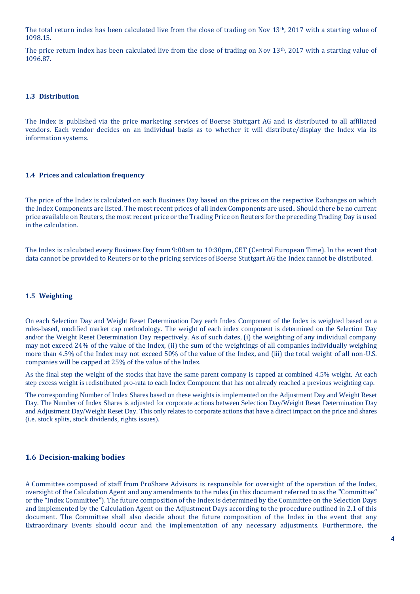The total return index has been calculated live from the close of trading on Nov 13th, 2017 with a starting value of 1098.15.

The price return index has been calculated live from the close of trading on Nov 13th, 2017 with a starting value of 1096.87.

#### **1.3 Distribution**

The Index is published via the price marketing services of Boerse Stuttgart AG and is distributed to all affiliated vendors. Each vendor decides on an individual basis as to whether it will distribute/display the Index via its information systems.

#### **1.4 Prices and calculation frequency**

The price of the Index is calculated on each Business Day based on the prices on the respective Exchanges on which the Index Components are listed. The most recent prices of all Index Components are used.. Should there be no current price available on Reuters, the most recent price or the Trading Price on Reuters for the preceding Trading Day is used in the calculation.

The Index is calculated every Business Day from 9:00am to 10:30pm, CET (Central European Time). In the event that data cannot be provided to Reuters or to the pricing services of Boerse Stuttgart AG the Index cannot be distributed.

#### **1.5 Weighting**

On each Selection Day and Weight Reset Determination Day each Index Component of the Index is weighted based on a rules-based, modified market cap methodology. The weight of each index component is determined on the Selection Day and/or the Weight Reset Determination Day respectively. As of such dates, (i) the weighting of any individual company may not exceed 24% of the value of the Index, (ii) the sum of the weightings of all companies individually weighing more than 4.5% of the Index may not exceed 50% of the value of the Index, and (iii) the total weight of all non-U.S. companies will be capped at 25% of the value of the Index.

As the final step the weight of the stocks that have the same parent company is capped at combined 4.5% weight. At each step excess weight is redistributed pro-rata to each Index Component that has not already reached a previous weighting cap.

The corresponding Number of Index Shares based on these weights is implemented on the Adjustment Day and Weight Reset Day. The Number of Index Shares is adjusted for corporate actions between Selection Day/Weight Reset Determination Day and Adjustment Day/Weight Reset Day. This only relates to corporate actions that have a direct impact on the price and shares (i.e. stock splits, stock dividends, rights issues).

#### **1.6 Decision-making bodies**

A Committee composed of staff from ProShare Advisors is responsible for oversight of the operation of the Index, oversight of the Calculation Agent and any amendments to the rules (in this document referred to as the **"**Committee**"** or the **"**Index Committee**"**). The future composition of the Index is determined by the Committee on the Selection Days and implemented by the Calculation Agent on the Adjustment Days according to the procedure outlined in 2.1 of this document. The Committee shall also decide about the future composition of the Index in the event that any Extraordinary Events should occur and the implementation of any necessary adjustments. Furthermore, the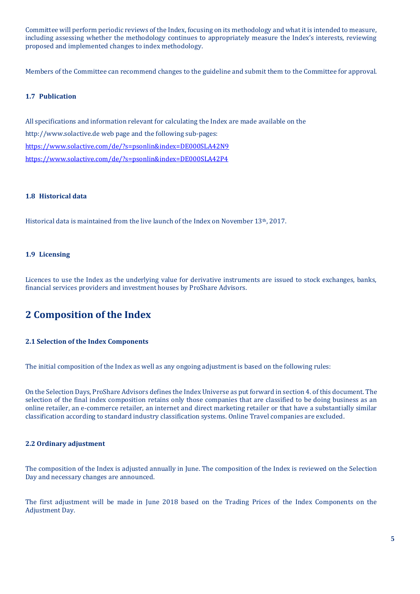Committee will perform periodic reviews of the Index, focusing on its methodology and what it is intended to measure, including assessing whether the methodology continues to appropriately measure the Index's interests, reviewing proposed and implemented changes to index methodology.

Members of the Committee can recommend changes to the guideline and submit them to the Committee for approval.

#### **1.7 Publication**

All specifications and information relevant for calculating the Index are made available on the http://www.solactive.de web page and the following sub-pages: <https://www.solactive.com/de/?s=psonlin&index=DE000SLA42N9> <https://www.solactive.com/de/?s=psonlin&index=DE000SLA42P4>

#### **1.8 Historical data**

Historical data is maintained from the live launch of the Index on November 13<sup>th</sup>, 2017.

#### **1.9 Licensing**

Licences to use the Index as the underlying value for derivative instruments are issued to stock exchanges, banks, financial services providers and investment houses by ProShare Advisors.

# **2 Composition of the Index**

#### **2.1 Selection of the Index Components**

The initial composition of the Index as well as any ongoing adjustment is based on the following rules:

On the Selection Days, ProShare Advisors defines the Index Universe as put forward in section 4. of this document. The selection of the final index composition retains only those companies that are classified to be doing business as an online retailer, an e-commerce retailer, an internet and direct marketing retailer or that have a substantially similar classification according to standard industry classification systems. Online Travel companies are excluded.

#### **2.2 Ordinary adjustment**

The composition of the Index is adjusted annually in June. The composition of the Index is reviewed on the Selection Day and necessary changes are announced.

The first adjustment will be made in June 2018 based on the Trading Prices of the Index Components on the Adjustment Day.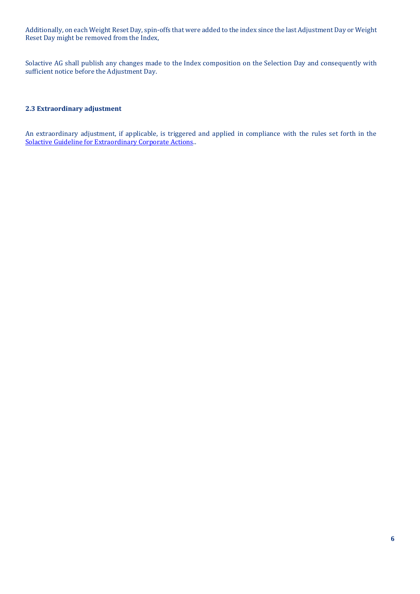Additionally, on each Weight Reset Day, spin-offs that were added to the index since the last Adjustment Day or Weight Reset Day might be removed from the Index,

Solactive AG shall publish any changes made to the Index composition on the Selection Day and consequently with sufficient notice before the Adjustment Day.

#### **2.3 Extraordinary adjustment**

An extraordinary adjustment, if applicable, is triggered and applied in compliance with the rules set forth in the [Solactive Guideline for Extraordinary Corporate Actions.](https://www.solactive.com/wp-content/uploads/2017/02/ECA-Solactive-Guideline.pdf).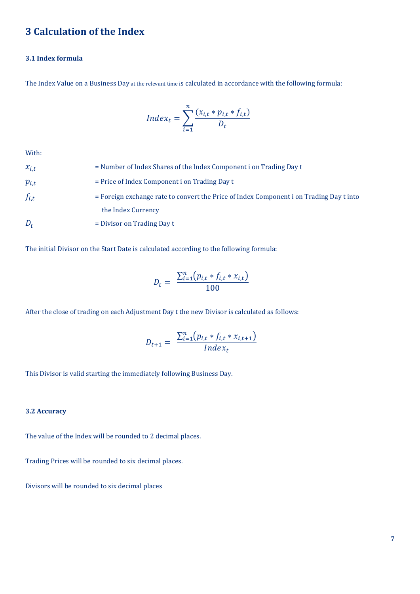# **3 Calculation of the Index**

# **3.1 Index formula**

The Index Value on a Business Day at the relevant time is calculated in accordance with the following formula:

$$
Index_t = \sum_{i=1}^{n} \frac{(x_{i,t} * p_{i,t} * f_{i,t})}{D_t}
$$

With:

| $x_{i,t}$ | $=$ Number of Index Shares of the Index Component i on Trading Day t                    |
|-----------|-----------------------------------------------------------------------------------------|
| $p_{i,t}$ | $=$ Price of Index Component i on Trading Day t                                         |
| $f_{i,t}$ | = Foreign exchange rate to convert the Price of Index Component i on Trading Day t into |
|           | the Index Currency                                                                      |
| $D_t$     | $=$ Divisor on Trading Day t                                                            |

The initial Divisor on the Start Date is calculated according to the following formula:

$$
D_t = \frac{\sum_{i=1}^{n} (p_{i,t} * f_{i,t} * x_{i,t})}{100}
$$

After the close of trading on each Adjustment Day t the new Divisor is calculated as follows:

$$
D_{t+1} = \frac{\sum_{i=1}^{n} (p_{i,t} * f_{i,t} * x_{i,t+1})}{Index_t}
$$

This Divisor is valid starting the immediately following Business Day.

#### **3.2 Accuracy**

The value of the Index will be rounded to 2 decimal places.

Trading Prices will be rounded to six decimal places.

Divisors will be rounded to six decimal places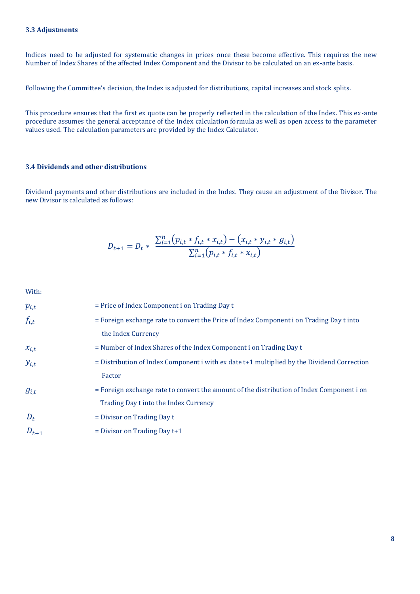Indices need to be adjusted for systematic changes in prices once these become effective. This requires the new Number of Index Shares of the affected Index Component and the Divisor to be calculated on an ex-ante basis.

Following the Committee's decision, the Index is adjusted for distributions, capital increases and stock splits.

This procedure ensures that the first ex quote can be properly reflected in the calculation of the Index. This ex-ante procedure assumes the general acceptance of the Index calculation formula as well as open access to the parameter values used. The calculation parameters are provided by the Index Calculator.

### **3.4 Dividends and other distributions**

Dividend payments and other distributions are included in the Index. They cause an adjustment of the Divisor. The new Divisor is calculated as follows:

$$
D_{t+1} = D_t * \frac{\sum_{i=1}^{n} (p_{i,t} * f_{i,t} * x_{i,t}) - (x_{i,t} * y_{i,t} * g_{i,t})}{\sum_{i=1}^{n} (p_{i,t} * f_{i,t} * x_{i,t})}
$$

With:

| $p_{i,t}$ | $=$ Price of Index Component i on Trading Day t                                                |
|-----------|------------------------------------------------------------------------------------------------|
| $f_{i,t}$ | = Foreign exchange rate to convert the Price of Index Component i on Trading Day t into        |
|           | the Index Currency                                                                             |
| $x_{i,t}$ | = Number of Index Shares of the Index Component i on Trading Day t                             |
| $y_{i,t}$ | $=$ Distribution of Index Component i with ex date $t+1$ multiplied by the Dividend Correction |
|           | Factor                                                                                         |
| $g_{i,t}$ | = Foreign exchange rate to convert the amount of the distribution of Index Component i on      |
|           | Trading Day t into the Index Currency                                                          |
| $D_t$     | $=$ Divisor on Trading Day t                                                                   |
| $D_{t+1}$ | $=$ Divisor on Trading Day $t+1$                                                               |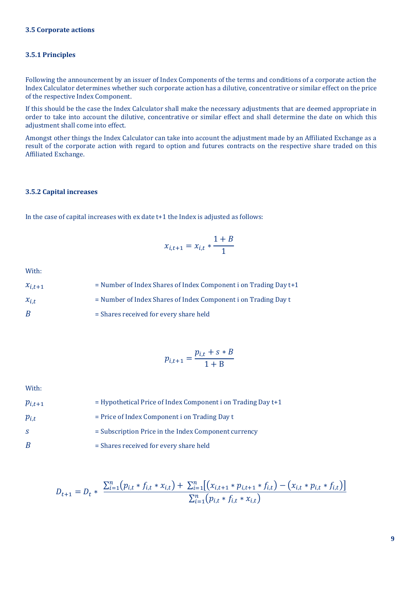#### **3.5 Corporate actions**

#### **3.5.1 Principles**

Following the announcement by an issuer of Index Components of the terms and conditions of a corporate action the Index Calculator determines whether such corporate action has a dilutive, concentrative or similar effect on the price of the respective Index Component.

If this should be the case the Index Calculator shall make the necessary adjustments that are deemed appropriate in order to take into account the dilutive, concentrative or similar effect and shall determine the date on which this adjustment shall come into effect.

Amongst other things the Index Calculator can take into account the adjustment made by an Affiliated Exchange as a result of the corporate action with regard to option and futures contracts on the respective share traded on this Affiliated Exchange.

#### **3.5.2 Capital increases**

In the case of capital increases with ex date t+1 the Index is adjusted as follows:

$$
x_{i,t+1} = x_{i,t} * \frac{1+B}{1}
$$

With:

| $x_{i,t+1}$ | $=$ Number of Index Shares of Index Component i on Trading Day $t+1$ |
|-------------|----------------------------------------------------------------------|
| $x_{i,t}$   | = Number of Index Shares of Index Component i on Trading Day t       |
| B           | = Shares received for every share held                               |

$$
p_{i,t+1} = \frac{p_{i,t} + s * B}{1 + B}
$$

With:

| $p_{i,t+1}$  | $=$ Hypothetical Price of Index Component i on Trading Day $t+1$ |
|--------------|------------------------------------------------------------------|
| $p_{i,t}$    | $=$ Price of Index Component i on Trading Day t                  |
| <sub>S</sub> | = Subscription Price in the Index Component currency             |
| B            | = Shares received for every share held                           |

$$
D_{t+1} = D_t * \frac{\sum_{i=1}^{n} (p_{i,t} * f_{i,t} * x_{i,t}) + \sum_{i=1}^{n} [(x_{i,t+1} * p_{i,t+1} * f_{i,t}) - (x_{i,t} * p_{i,t} * f_{i,t})]}{\sum_{i=1}^{n} (p_{i,t} * f_{i,t} * x_{i,t})}
$$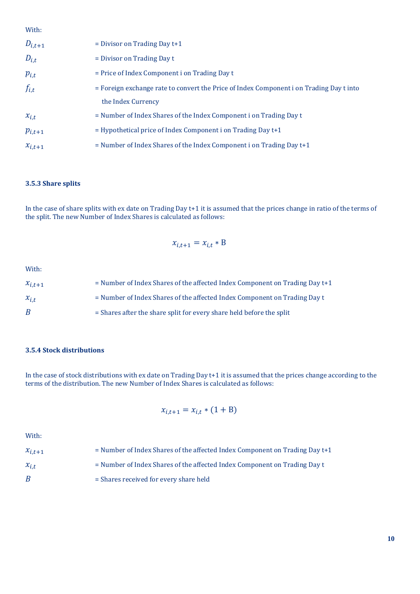With:

| = Foreign exchange rate to convert the Price of Index Component i on Trading Day t into |
|-----------------------------------------------------------------------------------------|
|                                                                                         |
|                                                                                         |
|                                                                                         |
|                                                                                         |
|                                                                                         |

### **3.5.3 Share splits**

In the case of share splits with ex date on Trading Day t+1 it is assumed that the prices change in ratio of the terms of the split. The new Number of Index Shares is calculated as follows:

$$
x_{i,t+1} = x_{i,t} * B
$$

With:

| $x_{i,t+1}$ | $=$ Number of Index Shares of the affected Index Component on Trading Day $t+1$ |
|-------------|---------------------------------------------------------------------------------|
| $x_{i,t}$   | = Number of Index Shares of the affected Index Component on Trading Day t       |
| B           | = Shares after the share split for every share held before the split            |

#### **3.5.4 Stock distributions**

In the case of stock distributions with ex date on Trading Day t+1 it is assumed that the prices change according to the terms of the distribution. The new Number of Index Shares is calculated as follows:

$$
x_{i,t+1} = x_{i,t} * (1 + B)
$$

With:

| $x_{i,t+1}$ | $=$ Number of Index Shares of the affected Index Component on Trading Day t+1 |
|-------------|-------------------------------------------------------------------------------|
| $x_{i.t}$   | = Number of Index Shares of the affected Index Component on Trading Day t     |
| B           | $=$ Shares received for every share held                                      |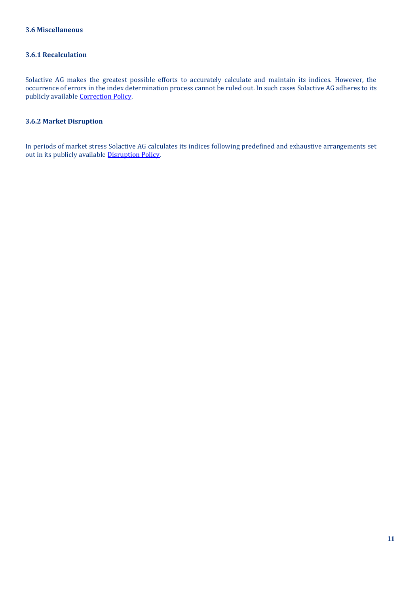### **3.6.1 Recalculation**

Solactive AG makes the greatest possible efforts to accurately calculate and maintain its indices. However, the occurrence of errors in the index determination process cannot be ruled out. In such cases Solactive AG adheres to its publicly available [Correction Policy.](http://www.solactive.com/news/documents/)

### **3.6.2 Market Disruption**

In periods of market stress Solactive AG calculates its indices following predefined and exhaustive arrangements set out in its publicly availabl[e Disruption Policy.](http://www.solactive.com/news/documents/)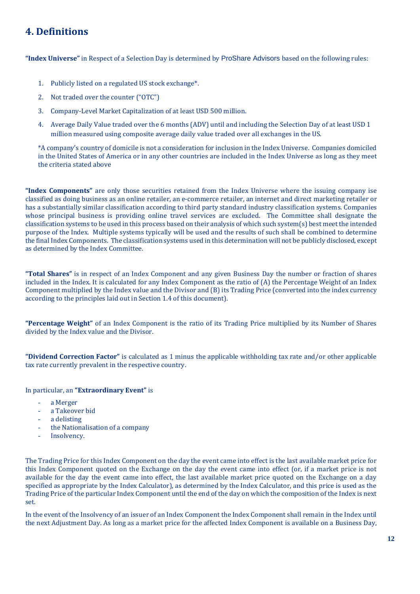# **4. Definitions**

**"Index Universe"** in Respect of a Selection Day is determined by ProShare Advisors based on the following rules:

- 1. Publicly listed on a regulated US stock exchange\*.
- 2. Not traded over the counter ("OTC")
- 3. Company-Level Market Capitalization of at least USD 500 million.
- 4. Average Daily Value traded over the 6 months (ADV) until and including the Selection Day of at least USD 1 million measured using composite average daily value traded over all exchanges in the US.

\*A company's country of domicile is not a consideration for inclusion in the Index Universe. Companies domiciled in the United States of America or in any other countries are included in the Index Universe as long as they meet the criteria stated above

**"Index Components"** are only those securities retained from the Index Universe where the issuing company ise classified as doing business as an online retailer, an e-commerce retailer, an internet and direct marketing retailer or has a substantially similar classification according to third party standard industry classification systems. Companies whose principal business is providing online travel services are excluded. The Committee shall designate the classification systems to be used in this process based on their analysis of which such system(s) best meet the intended purpose of the Index. Multiple systems typically will be used and the results of such shall be combined to determine the final Index Components. The classification systems used in this determination will not be publicly disclosed, except as determined by the Index Committee.

**"Total Shares"** is in respect of an Index Component and any given Business Day the number or fraction of shares included in the Index. It is calculated for any Index Component as the ratio of (A) the Percentage Weight of an Index Component multiplied by the Index value and the Divisor and (B) its Trading Price (converted into the index currency according to the principles laid out in Section 1.4 of this document).

**"Percentage Weight"** of an Index Component is the ratio of its Trading Price multiplied by its Number of Shares divided by the Index value and the Divisor.

**"Dividend Correction Factor"** is calculated as 1 minus the applicable withholding tax rate and/or other applicable tax rate currently prevalent in the respective country.

In particular, an **"Extraordinary Event"** is

- a Merger
- a Takeover bid
- a delisting
- the Nationalisation of a company
- Insolvency.

The Trading Price for this Index Component on the day the event came into effect is the last available market price for this Index Component quoted on the Exchange on the day the event came into effect (or, if a market price is not available for the day the event came into effect, the last available market price quoted on the Exchange on a day specified as appropriate by the Index Calculator), as determined by the Index Calculator, and this price is used as the Trading Price of the particular Index Component until the end of the day on which the composition of the Index is next set.

In the event of the Insolvency of an issuer of an Index Component the Index Component shall remain in the Index until the next Adjustment Day. As long as a market price for the affected Index Component is available on a Business Day,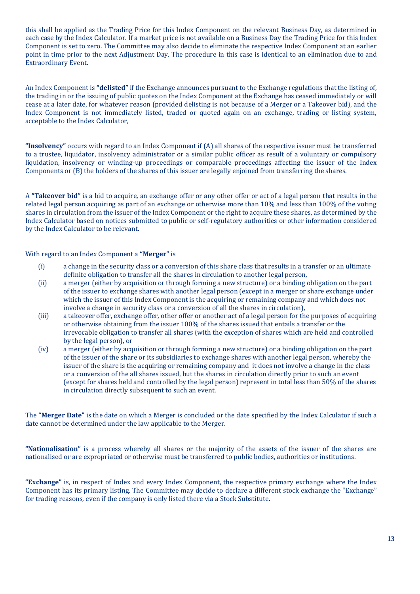this shall be applied as the Trading Price for this Index Component on the relevant Business Day, as determined in each case by the Index Calculator. If a market price is not available on a Business Day the Trading Price for this Index Component is set to zero. The Committee may also decide to eliminate the respective Index Component at an earlier point in time prior to the next Adjustment Day. The procedure in this case is identical to an elimination due to and Extraordinary Event.

An Index Component is **"delisted"** if the Exchange announces pursuant to the Exchange regulations that the listing of, the trading in or the issuing of public quotes on the Index Component at the Exchange has ceased immediately or will cease at a later date, for whatever reason (provided delisting is not because of a Merger or a Takeover bid), and the Index Component is not immediately listed, traded or quoted again on an exchange, trading or listing system, acceptable to the Index Calculator,

**"Insolvency"** occurs with regard to an Index Component if (A) all shares of the respective issuer must be transferred to a trustee, liquidator, insolvency administrator or a similar public officer as result of a voluntary or compulsory liquidation, insolvency or winding-up proceedings or comparable proceedings affecting the issuer of the Index Components or (B) the holders of the shares of this issuer are legally enjoined from transferring the shares.

A **"Takeover bid"** is a bid to acquire, an exchange offer or any other offer or act of a legal person that results in the related legal person acquiring as part of an exchange or otherwise more than 10% and less than 100% of the voting shares in circulation from the issuer of the Index Component or the right to acquire these shares, as determined by the Index Calculator based on notices submitted to public or self-regulatory authorities or other information considered by the Index Calculator to be relevant.

With regard to an Index Component a **"Merger"** is

- (i) a change in the security class or a conversion of this share class that results in a transfer or an ultimate definite obligation to transfer all the shares in circulation to another legal person,
- (ii) a merger (either by acquisition or through forming a new structure) or a binding obligation on the part of the issuer to exchange shares with another legal person (except in a merger or share exchange under which the issuer of this Index Component is the acquiring or remaining company and which does not involve a change in security class or a conversion of all the shares in circulation),
- (iii) a takeover offer, exchange offer, other offer or another act of a legal person for the purposes of acquiring or otherwise obtaining from the issuer 100% of the shares issued that entails a transfer or the irrevocable obligation to transfer all shares (with the exception of shares which are held and controlled by the legal person), or
- (iv) a merger (either by acquisition or through forming a new structure) or a binding obligation on the part of the issuer of the share or its subsidiaries to exchange shares with another legal person, whereby the issuer of the share is the acquiring or remaining company and it does not involve a change in the class or a conversion of the all shares issued, but the shares in circulation directly prior to such an event (except for shares held and controlled by the legal person) represent in total less than 50% of the shares in circulation directly subsequent to such an event.

The **"Merger Date"** is the date on which a Merger is concluded or the date specified by the Index Calculator if such a date cannot be determined under the law applicable to the Merger.

**"Nationalisation"** is a process whereby all shares or the majority of the assets of the issuer of the shares are nationalised or are expropriated or otherwise must be transferred to public bodies, authorities or institutions.

**"Exchange"** is, in respect of Index and every Index Component, the respective primary exchange where the Index Component has its primary listing. The Committee may decide to declare a different stock exchange the "Exchange" for trading reasons, even if the company is only listed there via a Stock Substitute.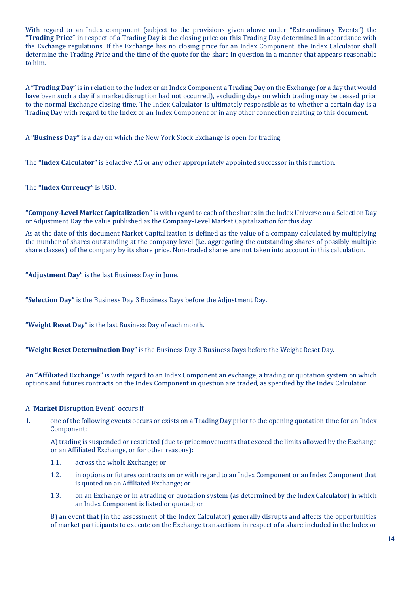With regard to an Index component (subject to the provisions given above under "Extraordinary Events") the **"Trading Price**" in respect of a Trading Day is the closing price on this Trading Day determined in accordance with the Exchange regulations. If the Exchange has no closing price for an Index Component, the Index Calculator shall determine the Trading Price and the time of the quote for the share in question in a manner that appears reasonable to him.

A **"Trading Day**" is in relation to the Index or an Index Component a Trading Day on the Exchange (or a day that would have been such a day if a market disruption had not occurred), excluding days on which trading may be ceased prior to the normal Exchange closing time. The Index Calculator is ultimately responsible as to whether a certain day is a Trading Day with regard to the Index or an Index Component or in any other connection relating to this document.

A **"Business Day"** is a day on which the New York Stock Exchange is open for trading.

The **"Index Calculator"** is Solactive AG or any other appropriately appointed successor in this function.

The **"Index Currency"** is USD.

**"Company-Level Market Capitalization"**is with regard to each of the shares in the Index Universe on a Selection Day or Adjustment Day the value published as the Company-Level Market Capitalization for this day.

As at the date of this document Market Capitalization is defined as the value of a company calculated by multiplying the number of shares outstanding at the company level (i.e. aggregating the outstanding shares of possibly multiple share classes) of the company by its share price. Non-traded shares are not taken into account in this calculation.

**"Adjustment Day"** is the last Business Day in June.

**"Selection Day"** is the Business Day 3 Business Days before the Adjustment Day.

**"Weight Reset Day"** is the last Business Day of each month.

**"Weight Reset Determination Day"** is the Business Day 3 Business Days before the Weight Reset Day.

An **"Affiliated Exchange"** is with regard to an Index Component an exchange, a trading or quotation system on which options and futures contracts on the Index Component in question are traded, as specified by the Index Calculator.

#### A "**Market Disruption Event**" occurs if

1. one of the following events occurs or exists on a Trading Day prior to the opening quotation time for an Index Component:

A) trading is suspended or restricted (due to price movements that exceed the limits allowed by the Exchange or an Affiliated Exchange, or for other reasons):

- 1.1. across the whole Exchange; or
- 1.2. in options or futures contracts on or with regard to an Index Component or an Index Component that is quoted on an Affiliated Exchange; or
- 1.3. on an Exchange or in a trading or quotation system (as determined by the Index Calculator) in which an Index Component is listed or quoted; or

B) an event that (in the assessment of the Index Calculator) generally disrupts and affects the opportunities of market participants to execute on the Exchange transactions in respect of a share included in the Index or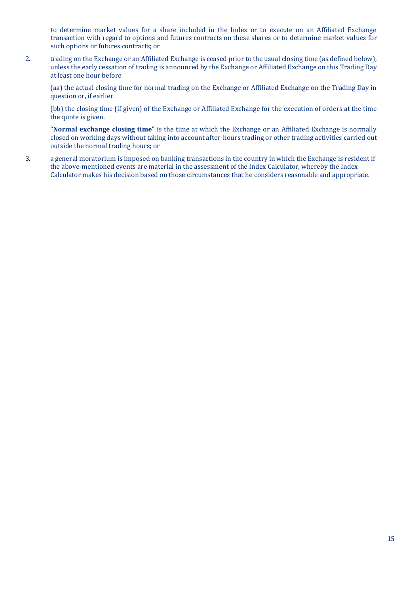to determine market values for a share included in the Index or to execute on an Affiliated Exchange transaction with regard to options and futures contracts on these shares or to determine market values for such options or futures contracts; or

2. trading on the Exchange or an Affiliated Exchange is ceased prior to the usual closing time (as defined below), unless the early cessation of trading is announced by the Exchange or Affiliated Exchange on this Trading Day at least one hour before

(aa) the actual closing time for normal trading on the Exchange or Affiliated Exchange on the Trading Day in question or, if earlier.

(bb) the closing time (if given) of the Exchange or Affiliated Exchange for the execution of orders at the time the quote is given.

**"Normal exchange closing time"** is the time at which the Exchange or an Affiliated Exchange is normally closed on working days without taking into account after-hours trading or other trading activities carried out outside the normal trading hours; or

3. a general moratorium is imposed on banking transactions in the country in which the Exchange is resident if the above-mentioned events are material in the assessment of the Index Calculator, whereby the Index Calculator makes his decision based on those circumstances that he considers reasonable and appropriate.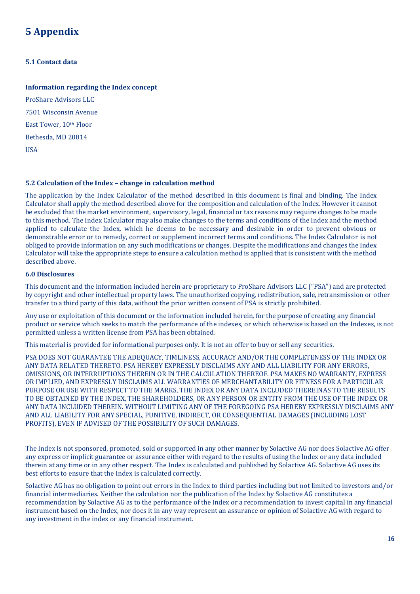# **5 Appendix**

## **5.1 Contact data**

### **Information regarding the Index concept**

ProShare Advisors LLC 7501 Wisconsin Avenue East Tower, 10th Floor Bethesda, MD 20814 USA

#### **5.2 Calculation of the Index – change in calculation method**

The application by the Index Calculator of the method described in this document is final and binding. The Index Calculator shall apply the method described above for the composition and calculation of the Index. However it cannot be excluded that the market environment, supervisory, legal, financial or tax reasons may require changes to be made to this method. The Index Calculator may also make changes to the terms and conditions of the Index and the method applied to calculate the Index, which he deems to be necessary and desirable in order to prevent obvious or demonstrable error or to remedy, correct or supplement incorrect terms and conditions. The Index Calculator is not obliged to provide information on any such modifications or changes. Despite the modifications and changes the Index Calculator will take the appropriate steps to ensure a calculation method is applied that is consistent with the method described above.

# **6.0 Disclosures**

This document and the information included herein are proprietary to ProShare Advisors LLC ("PSA") and are protected by copyright and other intellectual property laws. The unauthorized copying, redistribution, sale, retransmission or other transfer to a third party of this data, without the prior written consent of PSA is strictly prohibited.

Any use or exploitation of this document or the information included herein, for the purpose of creating any financial product or service which seeks to match the performance of the indexes, or which otherwise is based on the Indexes, is not permitted unless a written license from PSA has been obtained.

This material is provided for informational purposes only. It is not an offer to buy or sell any securities.

PSA DOES NOT GUARANTEE THE ADEQUACY, TIMLINESS, ACCURACY AND/OR THE COMPLETENESS OF THE INDEX OR ANY DATA RELATED THERETO. PSA HEREBY EXPRESSLY DISCLAIMS ANY AND ALL LIABILITY FOR ANY ERRORS, OMISSIONS, OR INTERRUPTIONS THEREIN OR IN THE CALCULATION THEREOF. PSA MAKES NO WARRANTY, EXPRESS OR IMPLIED, AND EXPRESSLY DISCLAIMS ALL WARRANTIES OF MERCHANTABILITY OR FITNESS FOR A PARTICULAR PURPOSE OR USE WITH RESPECT TO THE MARKS, THE INDEX OR ANY DATA INCLUDED THEREINAS TO THE RESULTS TO BE OBTAINED BY THE INDEX, THE SHAREHOLDERS, OR ANY PERSON OR ENTITY FROM THE USE OF THE INDEX OR ANY DATA INCLUDED THEREIN. WITHOUT LIMITING ANY OF THE FOREGOING PSA HEREBY EXPRESSLY DISCLAIMS ANY AND ALL LIABILITY FOR ANY SPECIAL, PUNITIVE, INDIRECT, OR CONSEQUENTIAL DAMAGES (INCLUDING LOST PROFITS), EVEN IF ADVISED OF THE POSSIBILITY OF SUCH DAMAGES.

The Index is not sponsored, promoted, sold or supported in any other manner by Solactive AG nor does Solactive AG offer any express or implicit guarantee or assurance either with regard to the results of using the Index or any data included therein at any time or in any other respect. The Index is calculated and published by Solactive AG. Solactive AG uses its best efforts to ensure that the Index is calculated correctly.

Solactive AG has no obligation to point out errors in the Index to third parties including but not limited to investors and/or financial intermediaries. Neither the calculation nor the publication of the Index by Solactive AG constitutes a recommendation by Solactive AG as to the performance of the Index or a recommendation to invest capital in any financial instrument based on the Index, nor does it in any way represent an assurance or opinion of Solactive AG with regard to any investment in the index or any financial instrument.